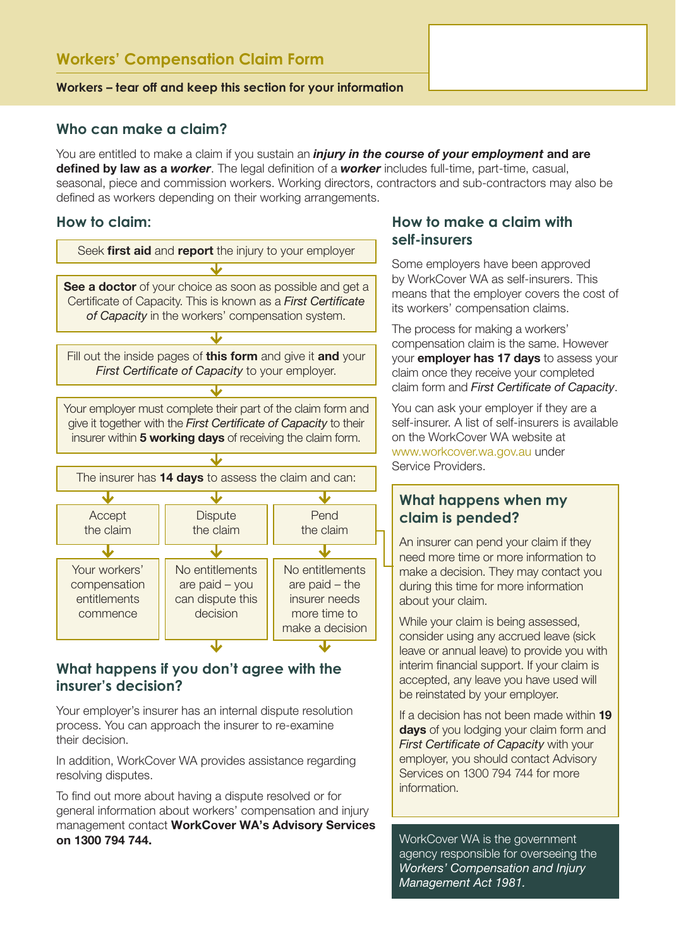### **Workers – tear off and keep this section for your information**

### **Who can make a claim?**

You are entitled to make a claim if you sustain an *injury in the course of your employment* and are defined by law as a *worker*. The legal definition of a *worker* includes full-time, part-time, casual, seasonal, piece and commission workers. Working directors, contractors and sub-contractors may also be defined as workers depending on their working arrangements.

## **How to claim:**



# **What happens if you don't agree with the insurer's decision?**

Your employer's insurer has an internal dispute resolution process. You can approach the insurer to re-examine their decision.

In addition, WorkCover WA provides assistance regarding resolving disputes.

To find out more about having a dispute resolved or for general information about workers' compensation and injury management contact WorkCover WA's Advisory Services on 1300 794 744.

# **How to make a claim with self-insurers**

Some employers have been approved by WorkCover WA as self-insurers. This means that the employer covers the cost of its workers' compensation claims.

The process for making a workers' compensation claim is the same. However your **employer has 17 days** to assess your claim once they receive your completed claim form and *First Certificate of Capacity*.

You can ask your employer if they are a self-insurer. A list of self-insurers is available on the WorkCover WA website at www.workcover.wa.gov.au under Service Providers.

# **What happens when my claim is pended?**

An insurer can pend your claim if they need more time or more information to make a decision. They may contact you during this time for more information about your claim.

While your claim is being assessed, consider using any accrued leave (sick leave or annual leave) to provide you with interim financial support. If your claim is accepted, any leave you have used will be reinstated by your employer.

If a decision has not been made within 19 days of you lodging your claim form and *First Certificate of Capacity* with your employer, you should contact Advisory Services on 1300 794 744 for more information.

WorkCover WA is the government agency responsible for overseeing the *Workers' Compensation and Injury Management Act 1981.*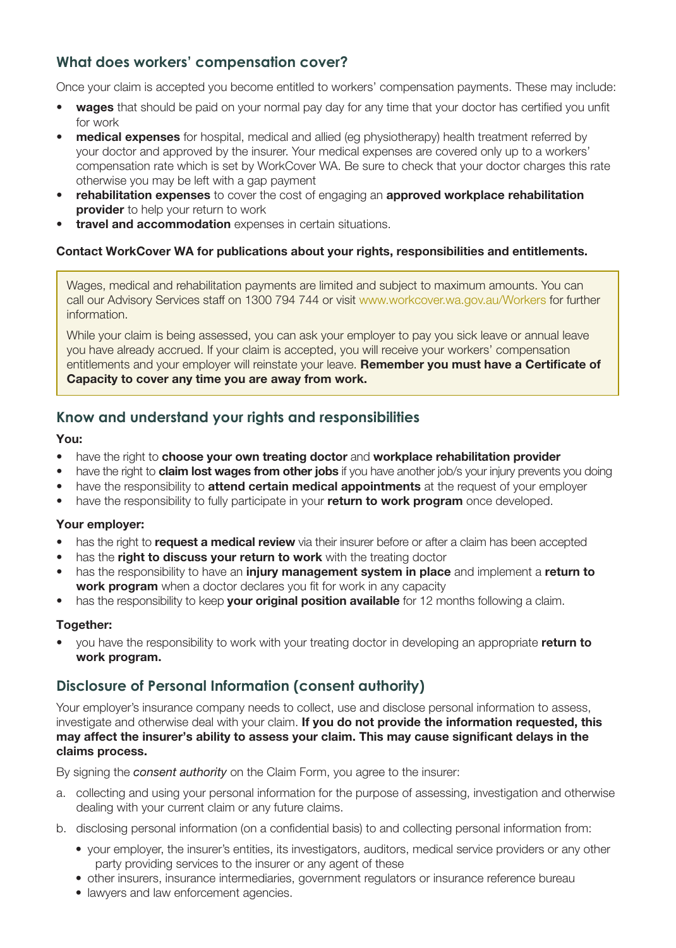# **What does workers' compensation cover?**

Once your claim is accepted you become entitled to workers' compensation payments. These may include:

- **wages** that should be paid on your normal pay day for any time that your doctor has certified you unfit for work
- **medical expenses** for hospital, medical and allied (eg physiotherapy) health treatment referred by your doctor and approved by the insurer. Your medical expenses are covered only up to a workers' compensation rate which is set by WorkCover WA. Be sure to check that your doctor charges this rate otherwise you may be left with a gap payment
- rehabilitation expenses to cover the cost of engaging an approved workplace rehabilitation provider to help your return to work
- travel and accommodation expenses in certain situations.

### Contact WorkCover WA for publications about your rights, responsibilities and entitlements.

Wages, medical and rehabilitation payments are limited and subject to maximum amounts. You can call our Advisory Services staff on 1300 794 744 or visit www.workcover.wa.gov.au/Workers for further information.

While your claim is being assessed, you can ask your employer to pay you sick leave or annual leave you have already accrued. If your claim is accepted, you will receive your workers' compensation entitlements and your employer will reinstate your leave. Remember you must have a Certificate of Capacity to cover any time you are away from work.

# **Know and understand your rights and responsibilities**

### You:

- have the right to choose your own treating doctor and workplace rehabilitation provider
- have the right to **claim lost wages from other jobs** if you have another job/s your injury prevents you doing
- have the responsibility to **attend certain medical appointments** at the request of your employer
- have the responsibility to fully participate in your return to work program once developed.

### Your employer:

- has the right to **request a medical review** via their insurer before or after a claim has been accepted
- has the right to discuss your return to work with the treating doctor
- has the responsibility to have an *injury management system in place* and implement a return to work program when a doctor declares you fit for work in any capacity
- has the responsibility to keep **your original position available** for 12 months following a claim.

### Together:

you have the responsibility to work with your treating doctor in developing an appropriate return to work program.

# **Disclosure of Personal Information (consent authority)**

Your employer's insurance company needs to collect, use and disclose personal information to assess, investigate and otherwise deal with your claim. If you do not provide the information requested, this may affect the insurer's ability to assess your claim. This may cause significant delays in the claims process.

By signing the *consent authority* on the Claim Form, you agree to the insurer:

- a. collecting and using your personal information for the purpose of assessing, investigation and otherwise dealing with your current claim or any future claims.
- b. disclosing personal information (on a confidential basis) to and collecting personal information from:
	- • your employer, the insurer's entities, its investigators, auditors, medical service providers or any other party providing services to the insurer or any agent of these
	- other insurers, insurance intermediaries, government regulators or insurance reference bureau
	- lawyers and law enforcement agencies.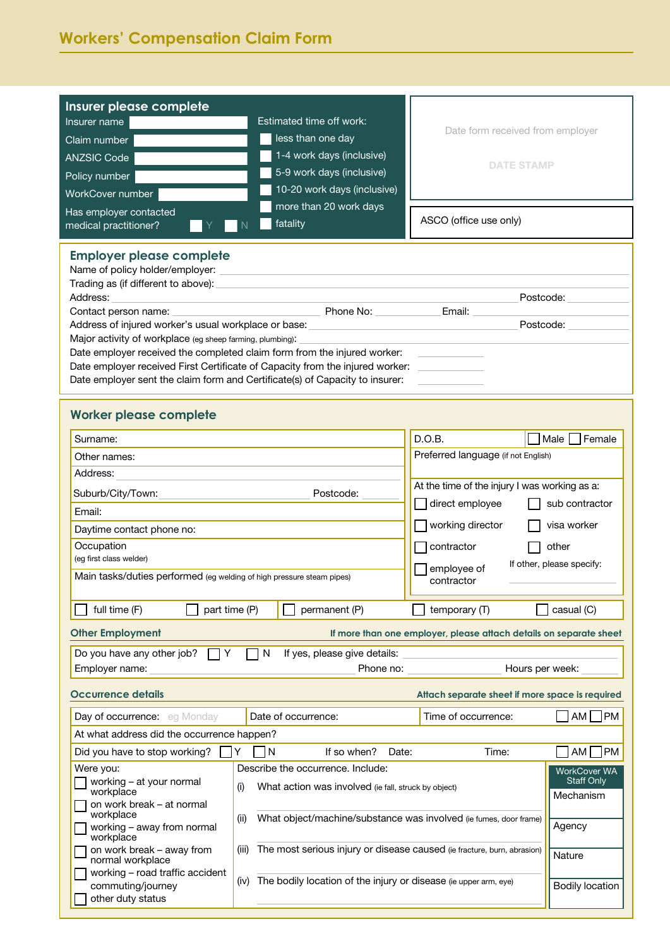| Insurer please complete<br>Insurer name<br>Claim number<br><b>ANZSIC Code</b><br>Policy number<br>WorkCover number<br>Has employer contacted<br>medical practitioner?                                                                                                                                                                                                                                                                                                                                                                                                | Estimated time off work:<br>less than one day<br>1-4 work days (inclusive)<br>5-9 work days (inclusive)<br>10-20 work days (inclusive)<br>more than 20 work days<br>fatality               | Date form received from employer<br><b>DATE STAMP</b><br>ASCO (office use only)                                                       |                                                   |  |
|----------------------------------------------------------------------------------------------------------------------------------------------------------------------------------------------------------------------------------------------------------------------------------------------------------------------------------------------------------------------------------------------------------------------------------------------------------------------------------------------------------------------------------------------------------------------|--------------------------------------------------------------------------------------------------------------------------------------------------------------------------------------------|---------------------------------------------------------------------------------------------------------------------------------------|---------------------------------------------------|--|
| <b>Employer please complete</b><br>Name of policy holder/employer:<br>Trading as (if different to above):<br>Address:<br>Postcode:<br>Phone No: No.<br>Email:<br>Contact person name:<br>Postcode:<br>Address of injured worker's usual workplace or base:<br>Major activity of workplace (eg sheep farming, plumbing):<br>Date employer received the completed claim form from the injured worker:<br>Date employer received First Certificate of Capacity from the injured worker:<br>Date employer sent the claim form and Certificate(s) of Capacity to insurer: |                                                                                                                                                                                            |                                                                                                                                       |                                                   |  |
| <b>Worker please complete</b>                                                                                                                                                                                                                                                                                                                                                                                                                                                                                                                                        |                                                                                                                                                                                            |                                                                                                                                       |                                                   |  |
| Surname:<br>Other names:<br>Address:<br>Suburb/City/Town:<br>Email:                                                                                                                                                                                                                                                                                                                                                                                                                                                                                                  | Postcode:                                                                                                                                                                                  | D.O.B.<br>Preferred language (if not English)<br>At the time of the injury I was working as a:<br>direct employee<br>working director | Female<br>Male  <br>sub contractor<br>visa worker |  |
| Daytime contact phone no:<br>Occupation<br>(eq first class welder)<br>Main tasks/duties performed (eg welding of high pressure steam pipes)                                                                                                                                                                                                                                                                                                                                                                                                                          |                                                                                                                                                                                            | contractor<br>other<br>If other, please specify:<br>employee of<br>contractor                                                         |                                                   |  |
| full time (F)<br>part time (P)                                                                                                                                                                                                                                                                                                                                                                                                                                                                                                                                       | permanent (P)                                                                                                                                                                              | temporary (T)                                                                                                                         | casual (C)                                        |  |
| <b>Other Employment</b>                                                                                                                                                                                                                                                                                                                                                                                                                                                                                                                                              |                                                                                                                                                                                            | If more than one employer, please attach details on separate sheet                                                                    |                                                   |  |
| Do you have any other job?<br>N<br>If yes, please give details:<br>Y<br>Hours per week:<br>Employer name:<br>Phone no:                                                                                                                                                                                                                                                                                                                                                                                                                                               |                                                                                                                                                                                            |                                                                                                                                       |                                                   |  |
| Occurrence details                                                                                                                                                                                                                                                                                                                                                                                                                                                                                                                                                   |                                                                                                                                                                                            | Attach separate sheet if more space is required                                                                                       |                                                   |  |
| Day of occurrence: eq Monday                                                                                                                                                                                                                                                                                                                                                                                                                                                                                                                                         | Date of occurrence:                                                                                                                                                                        | Time of occurrence:                                                                                                                   | $AM$   PM                                         |  |
| At what address did the occurrence happen?                                                                                                                                                                                                                                                                                                                                                                                                                                                                                                                           |                                                                                                                                                                                            |                                                                                                                                       |                                                   |  |
| Did you have to stop working?<br>Were you:                                                                                                                                                                                                                                                                                                                                                                                                                                                                                                                           | If so when?<br>l N<br>Date:<br>Describe the occurrence. Include:                                                                                                                           | Time:                                                                                                                                 | $AM$ PM                                           |  |
| working - at your normal<br>(i)<br>workplace<br>on work break - at normal<br>workplace                                                                                                                                                                                                                                                                                                                                                                                                                                                                               | <b>WorkCover WA</b><br><b>Staff Only</b><br>What action was involved (ie fall, struck by object)<br>Mechanism<br>What object/machine/substance was involved (ie fumes, door frame)<br>(ii) |                                                                                                                                       |                                                   |  |
| working – away from normal<br>workplace<br>on work break - away from<br>(iii)                                                                                                                                                                                                                                                                                                                                                                                                                                                                                        | Agency<br>The most serious injury or disease caused (ie fracture, burn, abrasion)                                                                                                          |                                                                                                                                       |                                                   |  |
| normal workplace<br>working - road traffic accident<br>commuting/journey<br>other duty status                                                                                                                                                                                                                                                                                                                                                                                                                                                                        | Nature<br>(iv) The bodily location of the injury or disease (ie upper arm, eye)<br><b>Bodily location</b>                                                                                  |                                                                                                                                       |                                                   |  |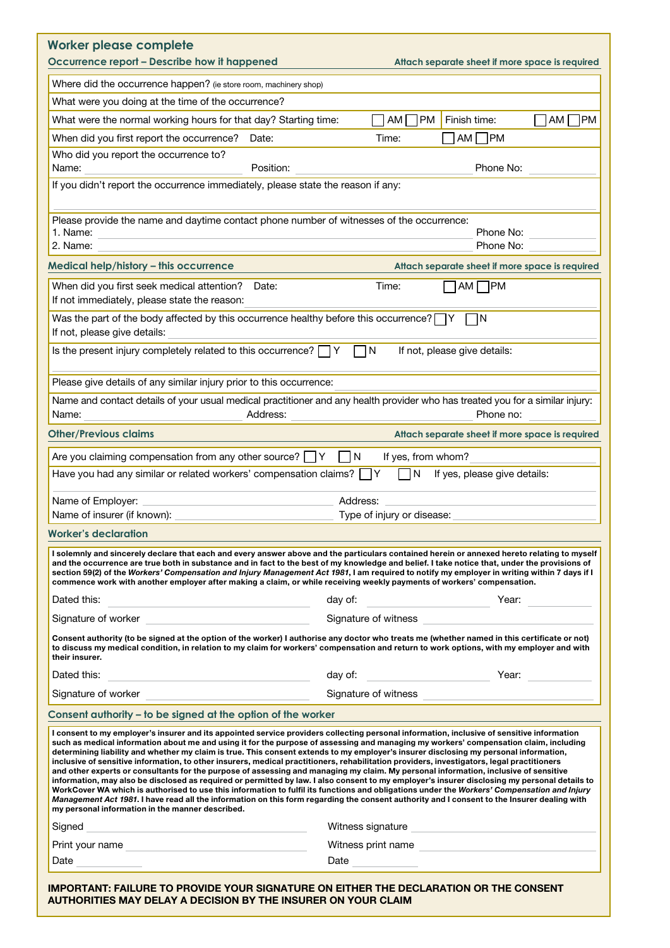| Worker please complete<br>Occurrence report - Describe how it happened<br>Attach separate sheet if more space is required                                                                                                                                                                                                                                                                                                                                                                                                                                                                                                                                                                                                                                                                                                                                                                                                                                                                                                                                                                                                                                                                                             |                 |  |
|-----------------------------------------------------------------------------------------------------------------------------------------------------------------------------------------------------------------------------------------------------------------------------------------------------------------------------------------------------------------------------------------------------------------------------------------------------------------------------------------------------------------------------------------------------------------------------------------------------------------------------------------------------------------------------------------------------------------------------------------------------------------------------------------------------------------------------------------------------------------------------------------------------------------------------------------------------------------------------------------------------------------------------------------------------------------------------------------------------------------------------------------------------------------------------------------------------------------------|-----------------|--|
| Where did the occurrence happen? (ie store room, machinery shop)                                                                                                                                                                                                                                                                                                                                                                                                                                                                                                                                                                                                                                                                                                                                                                                                                                                                                                                                                                                                                                                                                                                                                      |                 |  |
| What were you doing at the time of the occurrence?                                                                                                                                                                                                                                                                                                                                                                                                                                                                                                                                                                                                                                                                                                                                                                                                                                                                                                                                                                                                                                                                                                                                                                    |                 |  |
| <b>PM</b><br>What were the normal working hours for that day? Starting time:<br>Finish time:<br>AM                                                                                                                                                                                                                                                                                                                                                                                                                                                                                                                                                                                                                                                                                                                                                                                                                                                                                                                                                                                                                                                                                                                    | <b>PM</b><br>AM |  |
| AM <sub>l</sub><br>]PM<br>When did you first report the occurrence?<br>Time:<br>Date:                                                                                                                                                                                                                                                                                                                                                                                                                                                                                                                                                                                                                                                                                                                                                                                                                                                                                                                                                                                                                                                                                                                                 |                 |  |
| Who did you report the occurrence to?<br>Position:<br>Phone No:<br>Name:                                                                                                                                                                                                                                                                                                                                                                                                                                                                                                                                                                                                                                                                                                                                                                                                                                                                                                                                                                                                                                                                                                                                              |                 |  |
| If you didn't report the occurrence immediately, please state the reason if any:                                                                                                                                                                                                                                                                                                                                                                                                                                                                                                                                                                                                                                                                                                                                                                                                                                                                                                                                                                                                                                                                                                                                      |                 |  |
| Please provide the name and daytime contact phone number of witnesses of the occurrence:                                                                                                                                                                                                                                                                                                                                                                                                                                                                                                                                                                                                                                                                                                                                                                                                                                                                                                                                                                                                                                                                                                                              |                 |  |
| 1. Name:<br>Phone No:<br>2. Name:<br>Phone No:                                                                                                                                                                                                                                                                                                                                                                                                                                                                                                                                                                                                                                                                                                                                                                                                                                                                                                                                                                                                                                                                                                                                                                        |                 |  |
| Medical help/history - this occurrence<br>Attach separate sheet if more space is required                                                                                                                                                                                                                                                                                                                                                                                                                                                                                                                                                                                                                                                                                                                                                                                                                                                                                                                                                                                                                                                                                                                             |                 |  |
| When did you first seek medical attention?<br>$AM$ PM<br>Time:<br>Date:<br>If not immediately, please state the reason:                                                                                                                                                                                                                                                                                                                                                                                                                                                                                                                                                                                                                                                                                                                                                                                                                                                                                                                                                                                                                                                                                               |                 |  |
| Was the part of the body affected by this occurrence healthy before this occurrence? $\Box$ Y<br>- IN<br>If not, please give details:                                                                                                                                                                                                                                                                                                                                                                                                                                                                                                                                                                                                                                                                                                                                                                                                                                                                                                                                                                                                                                                                                 |                 |  |
| Is the present injury completely related to this occurrence? $\Box Y$<br>l N<br>If not, please give details:                                                                                                                                                                                                                                                                                                                                                                                                                                                                                                                                                                                                                                                                                                                                                                                                                                                                                                                                                                                                                                                                                                          |                 |  |
| Please give details of any similar injury prior to this occurrence:                                                                                                                                                                                                                                                                                                                                                                                                                                                                                                                                                                                                                                                                                                                                                                                                                                                                                                                                                                                                                                                                                                                                                   |                 |  |
| Name and contact details of your usual medical practitioner and any health provider who has treated you for a similar injury:<br>Name:<br>Address:<br>Phone no:                                                                                                                                                                                                                                                                                                                                                                                                                                                                                                                                                                                                                                                                                                                                                                                                                                                                                                                                                                                                                                                       |                 |  |
| <b>Other/Previous claims</b><br>Attach separate sheet if more space is required                                                                                                                                                                                                                                                                                                                                                                                                                                                                                                                                                                                                                                                                                                                                                                                                                                                                                                                                                                                                                                                                                                                                       |                 |  |
| Are you claiming compensation from any other source? $\Box Y$<br>If yes, from whom?<br>IN.                                                                                                                                                                                                                                                                                                                                                                                                                                                                                                                                                                                                                                                                                                                                                                                                                                                                                                                                                                                                                                                                                                                            |                 |  |
| Have you had any similar or related workers' compensation claims?<br>$\overline{\mathsf{N}}$<br>If yes, please give details:                                                                                                                                                                                                                                                                                                                                                                                                                                                                                                                                                                                                                                                                                                                                                                                                                                                                                                                                                                                                                                                                                          |                 |  |
| Name of Employer:<br>Address:                                                                                                                                                                                                                                                                                                                                                                                                                                                                                                                                                                                                                                                                                                                                                                                                                                                                                                                                                                                                                                                                                                                                                                                         |                 |  |
| Name of insurer (if known):<br>Type of injury or disease:                                                                                                                                                                                                                                                                                                                                                                                                                                                                                                                                                                                                                                                                                                                                                                                                                                                                                                                                                                                                                                                                                                                                                             |                 |  |
| Worker's declaration                                                                                                                                                                                                                                                                                                                                                                                                                                                                                                                                                                                                                                                                                                                                                                                                                                                                                                                                                                                                                                                                                                                                                                                                  |                 |  |
| I solemnly and sincerely declare that each and every answer above and the particulars contained herein or annexed hereto relating to myself<br>and the occurrence are true both in substance and in fact to the best of my knowledge and belief. I take notice that, under the provisions of<br>section 59(2) of the Workers' Compensation and Injury Management Act 1981, I am required to notify my employer in writing within 7 days if I<br>commence work with another employer after making a claim, or while receiving weekly payments of workers' compensation.                                                                                                                                                                                                                                                                                                                                                                                                                                                                                                                                                                                                                                                |                 |  |
| Dated this:<br>day of:<br>Year:<br><u> 1999 - Johann Barn, mars ann an t-</u><br>Signature of witness <b>Signature</b> of witness                                                                                                                                                                                                                                                                                                                                                                                                                                                                                                                                                                                                                                                                                                                                                                                                                                                                                                                                                                                                                                                                                     |                 |  |
| Consent authority (to be signed at the option of the worker) I authorise any doctor who treats me (whether named in this certificate or not)<br>to discuss my medical condition, in relation to my claim for workers' compensation and return to work options, with my employer and with<br>their insurer.                                                                                                                                                                                                                                                                                                                                                                                                                                                                                                                                                                                                                                                                                                                                                                                                                                                                                                            |                 |  |
|                                                                                                                                                                                                                                                                                                                                                                                                                                                                                                                                                                                                                                                                                                                                                                                                                                                                                                                                                                                                                                                                                                                                                                                                                       |                 |  |
| Dated this:<br><u> 1980 - Johann Barbara, martin amerikan basal dan berasal dalam basal dalam basal dalam basal dalam basal dala</u>                                                                                                                                                                                                                                                                                                                                                                                                                                                                                                                                                                                                                                                                                                                                                                                                                                                                                                                                                                                                                                                                                  |                 |  |
| Signature of witness<br>Signature of worker                                                                                                                                                                                                                                                                                                                                                                                                                                                                                                                                                                                                                                                                                                                                                                                                                                                                                                                                                                                                                                                                                                                                                                           | Year:           |  |
| Consent authority - to be signed at the option of the worker                                                                                                                                                                                                                                                                                                                                                                                                                                                                                                                                                                                                                                                                                                                                                                                                                                                                                                                                                                                                                                                                                                                                                          |                 |  |
| I consent to my employer's insurer and its appointed service providers collecting personal information, inclusive of sensitive information<br>such as medical information about me and using it for the purpose of assessing and managing my workers' compensation claim, including<br>determining liability and whether my claim is true. This consent extends to my employer's insurer disclosing my personal information,<br>inclusive of sensitive information, to other insurers, medical practitioners, rehabilitation providers, investigators, legal practitioners<br>and other experts or consultants for the purpose of assessing and managing my claim. My personal information, inclusive of sensitive<br>information, may also be disclosed as required or permitted by law. I also consent to my employer's insurer disclosing my personal details to<br>WorkCover WA which is authorised to use this information to fulfil its functions and obligations under the Workers' Compensation and Injury<br>Management Act 1981. I have read all the information on this form regarding the consent authority and I consent to the Insurer dealing with<br>my personal information in the manner described. |                 |  |
| Signed<br>Witness signature Nitra and Services and Services and Services and Services and Services and Services and Services                                                                                                                                                                                                                                                                                                                                                                                                                                                                                                                                                                                                                                                                                                                                                                                                                                                                                                                                                                                                                                                                                          |                 |  |
| <u> Andreas Andreas (Andreas Andreas Andreas Andreas Andreas Andreas Andreas Andreas Andreas Andreas Andreas Andr</u><br>Print your name experience and the contract of the contract of the contract of the contract of the contract of<br>Witness print name<br>Date                                                                                                                                                                                                                                                                                                                                                                                                                                                                                                                                                                                                                                                                                                                                                                                                                                                                                                                                                 |                 |  |

IMPORTANT: FAILURE TO PROVIDE YOUR SIGNATURE ON EITHER THE DECLARATION OR THE CONSENT AUTHORITIES MAY DELAY A DECISION BY THE INSURER ON YOUR CLAIM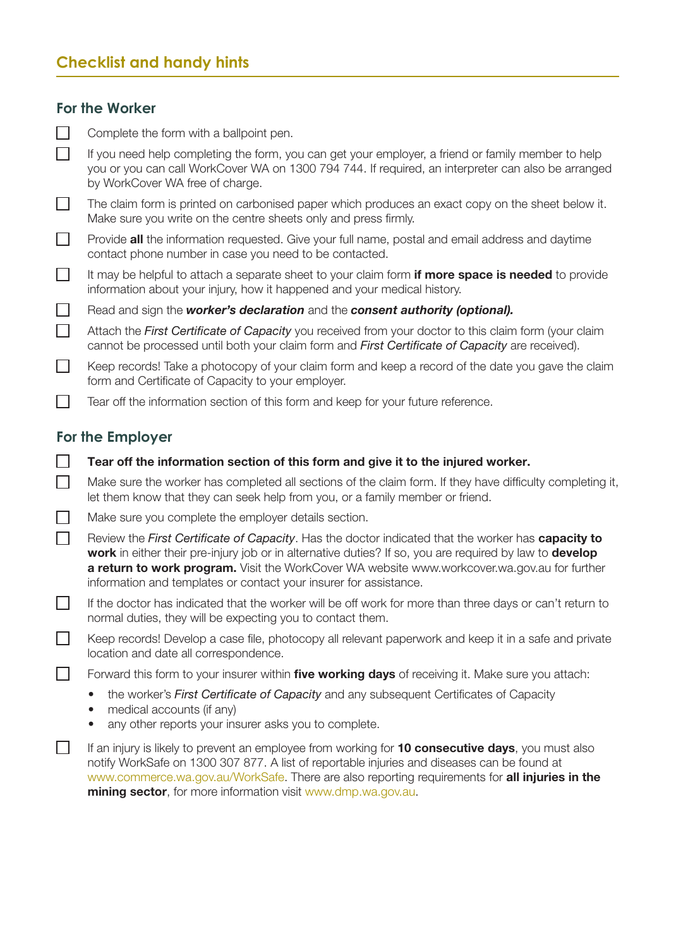# **Checklist and handy hints**

# **For the Worker**

|          | Complete the form with a ballpoint pen.                                                                                                                                                                                                                                                                                                                                            |
|----------|------------------------------------------------------------------------------------------------------------------------------------------------------------------------------------------------------------------------------------------------------------------------------------------------------------------------------------------------------------------------------------|
|          | If you need help completing the form, you can get your employer, a friend or family member to help<br>you or you can call WorkCover WA on 1300 794 744. If required, an interpreter can also be arranged<br>by WorkCover WA free of charge.                                                                                                                                        |
| $\Box$   | The claim form is printed on carbonised paper which produces an exact copy on the sheet below it.<br>Make sure you write on the centre sheets only and press firmly.                                                                                                                                                                                                               |
| $\Box$   | Provide all the information requested. Give your full name, postal and email address and daytime<br>contact phone number in case you need to be contacted.                                                                                                                                                                                                                         |
| $\Box$   | It may be helpful to attach a separate sheet to your claim form <b>if more space is needed</b> to provide<br>information about your injury, how it happened and your medical history.                                                                                                                                                                                              |
| $\sqcup$ | Read and sign the worker's declaration and the consent authority (optional).                                                                                                                                                                                                                                                                                                       |
| $\Box$   | Attach the First Certificate of Capacity you received from your doctor to this claim form (your claim<br>cannot be processed until both your claim form and First Certificate of Capacity are received).                                                                                                                                                                           |
| $\Box$   | Keep records! Take a photocopy of your claim form and keep a record of the date you gave the claim<br>form and Certificate of Capacity to your employer.                                                                                                                                                                                                                           |
|          | Tear off the information section of this form and keep for your future reference.                                                                                                                                                                                                                                                                                                  |
|          | For the Employer                                                                                                                                                                                                                                                                                                                                                                   |
|          | Tear off the information section of this form and give it to the injured worker.                                                                                                                                                                                                                                                                                                   |
| $\Box$   | Make sure the worker has completed all sections of the claim form. If they have difficulty completing it,<br>let them know that they can seek help from you, or a family member or friend.                                                                                                                                                                                         |
|          | Make sure you complete the employer details section.                                                                                                                                                                                                                                                                                                                               |
| $\Box$   | Review the First Certificate of Capacity. Has the doctor indicated that the worker has capacity to<br>work in either their pre-injury job or in alternative duties? If so, you are required by law to develop<br>a return to work program. Visit the WorkCover WA website www.workcover.wa.gov.au for further<br>information and templates or contact your insurer for assistance. |
|          | If the doctor has indicated that the worker will be off work for more than three days or can't return to<br>normal duties, they will be expecting you to contact them.                                                                                                                                                                                                             |
|          | Keep records! Develop a case file, photocopy all relevant paperwork and keep it in a safe and private<br>location and date all correspondence.                                                                                                                                                                                                                                     |
|          | Forward this form to your insurer within five working days of receiving it. Make sure you attach:                                                                                                                                                                                                                                                                                  |
|          | the worker's First Certificate of Capacity and any subsequent Certificates of Capacity<br>$\bullet$<br>medical accounts (if any)<br>any other reports your insurer asks you to complete.                                                                                                                                                                                           |
|          | If an injury is likely to prevent an employee from working for 10 consecutive days, you must also<br>notify WorkSafe on 1300 307 877. A list of reportable injuries and diseases can be found at<br>www.commerce.wa.gov.au/WorkSafe. There are also reporting requirements for all injuries in the                                                                                 |

mining sector, for more information visit www.dmp.wa.gov.au.